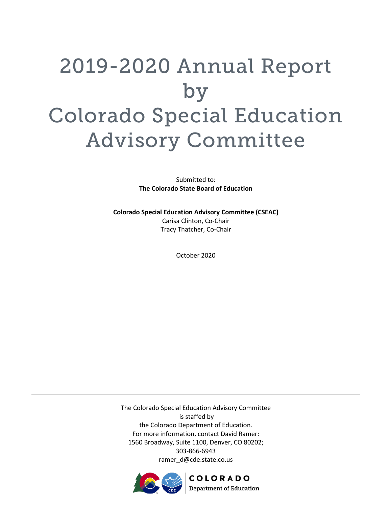# 2019-2020 Annual Report by Colorado Special Education Advisory Committee

Submitted to: **The Colorado State Board of Education**

**Colorado Special Education Advisory Committee (CSEAC)** Carisa Clinton, Co-Chair Tracy Thatcher, Co-Chair

October 2020

The Colorado Special Education Advisory Committee is staffed by the Colorado Department of Education. For more information, contact David Ramer: 1560 Broadway, Suite 1100, Denver, CO 80202; 303-866-6943 ramer\_d@cde.state.co.us

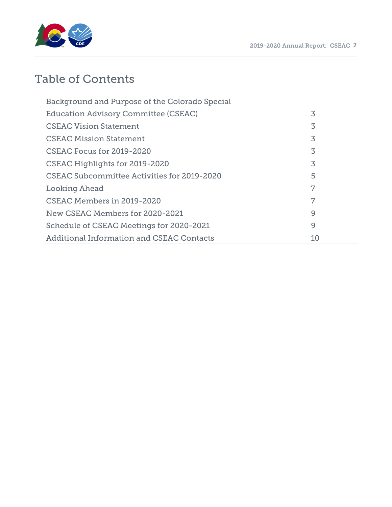



## Table of Contents

| Background and Purpose of the Colorado Special   |    |
|--------------------------------------------------|----|
| <b>Education Advisory Committee (CSEAC)</b>      | 3  |
| <b>CSEAC Vision Statement</b>                    | 3  |
| <b>CSEAC Mission Statement</b>                   | 3  |
| CSEAC Focus for 2019-2020                        | 3  |
| CSEAC Highlights for 2019-2020                   | 3  |
| CSEAC Subcommittee Activities for 2019-2020      | 5  |
| Looking Ahead                                    | 7  |
| CSEAC Members in 2019-2020                       | 7  |
| New CSEAC Members for 2020-2021                  | 9  |
| Schedule of CSEAC Meetings for 2020-2021         | 9  |
| <b>Additional Information and CSEAC Contacts</b> | 10 |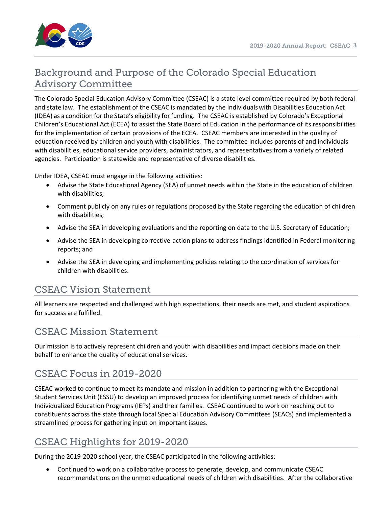

## Background and Purpose of the Colorado Special Education Advisory Committee

The Colorado Special Education Advisory Committee (CSEAC) is a state level committee required by both federal and state law. The establishment of the CSEAC is mandated by the Individualswith Disabilities Education Act (IDEA) as a condition forthe State's eligibility forfunding. The CSEAC is established by Colorado's Exceptional Children's Educational Act (ECEA) to assist the State Board of Education in the performance of its responsibilities for the implementation of certain provisions of the ECEA. CSEAC members are interested in the quality of education received by children and youth with disabilities. The committee includes parents of and individuals with disabilities, educational service providers, administrators, and representatives from a variety of related agencies. Participation is statewide and representative of diverse disabilities.

Under IDEA, CSEAC must engage in the following activities:

- Advise the State Educational Agency (SEA) of unmet needs within the State in the education of children with disabilities;
- Comment publicly on any rules or regulations proposed by the State regarding the education of children with disabilities;
- Advise the SEA in developing evaluations and the reporting on data to the U.S. Secretary of Education;
- Advise the SEA in developing corrective-action plans to address findings identified in Federal monitoring reports; and
- Advise the SEA in developing and implementing policies relating to the coordination of services for children with disabilities.

## CSEAC Vision Statement

All learners are respected and challenged with high expectations, their needs are met, and student aspirations for success are fulfilled.

### CSEAC Mission Statement

Our mission is to actively represent children and youth with disabilities and impact decisions made on their behalf to enhance the quality of educational services.

## CSEAC Focus in 2019-2020

CSEAC worked to continue to meet its mandate and mission in addition to partnering with the Exceptional Student Services Unit (ESSU) to develop an improved process for identifying unmet needs of children with Individualized Education Programs (IEPs) and their families. CSEAC continued to work on reaching out to constituents across the state through local Special Education Advisory Committees (SEACs) and implemented a streamlined process for gathering input on important issues.

## CSEAC Highlights for 2019-2020

During the 2019-2020 school year, the CSEAC participated in the following activities:

• Continued to work on a collaborative process to generate, develop, and communicate CSEAC recommendations on the unmet educational needs of children with disabilities. After the collaborative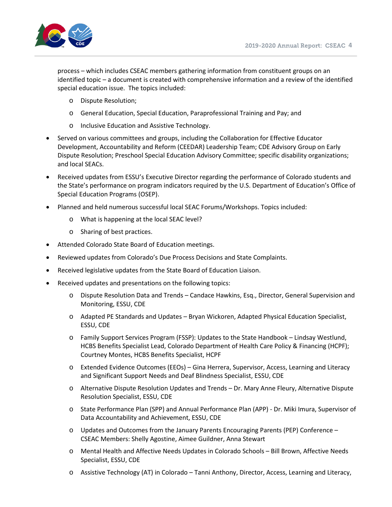

process – which includes CSEAC members gathering information from constituent groups on an identified topic – a document is created with comprehensive information and a review of the identified special education issue. The topics included:

- o Dispute Resolution;
- o General Education, Special Education, Paraprofessional Training and Pay; and
- o Inclusive Education and Assistive Technology.
- Served on various committees and groups, including the Collaboration for Effective Educator Development, Accountability and Reform (CEEDAR) Leadership Team; CDE Advisory Group on Early Dispute Resolution; Preschool Special Education Advisory Committee; specific disability organizations; and local SEACs.
- Received updates from ESSU's Executive Director regarding the performance of Colorado students and the State's performance on program indicators required by the U.S. Department of Education's Office of Special Education Programs (OSEP).
- Planned and held numerous successful local SEAC Forums/Workshops. Topics included:
	- o What is happening at the local SEAC level?
	- o Sharing of best practices.
- Attended Colorado State Board of Education meetings.
- Reviewed updates from Colorado's Due Process Decisions and State Complaints.
- Received legislative updates from the State Board of Education Liaison.
- Received updates and presentations on the following topics:
	- o Dispute Resolution Data and Trends Candace Hawkins, Esq., Director, General Supervision and Monitoring, ESSU, CDE
	- o Adapted PE Standards and Updates Bryan Wickoren, Adapted Physical Education Specialist, ESSU, CDE
	- o Family Support Services Program (FSSP): Updates to the State Handbook Lindsay Westlund, HCBS Benefits Specialist Lead, Colorado Department of Health Care Policy & Financing (HCPF); Courtney Montes, HCBS Benefits Specialist, HCPF
	- o Extended Evidence Outcomes (EEOs) Gina Herrera, Supervisor, Access, Learning and Literacy and Significant Support Needs and Deaf Blindness Specialist, ESSU, CDE
	- o Alternative Dispute Resolution Updates and Trends Dr. Mary Anne Fleury, Alternative Dispute Resolution Specialist, ESSU, CDE
	- o State Performance Plan (SPP) and Annual Performance Plan (APP) Dr. Miki Imura, Supervisor of Data Accountability and Achievement, ESSU, CDE
	- $\circ$  Updates and Outcomes from the January Parents Encouraging Parents (PEP) Conference CSEAC Members: Shelly Agostine, Aimee Guildner, Anna Stewart
	- o Mental Health and Affective Needs Updates in Colorado Schools Bill Brown, Affective Needs Specialist, ESSU, CDE
	- o Assistive Technology (AT) in Colorado Tanni Anthony, Director, Access, Learning and Literacy,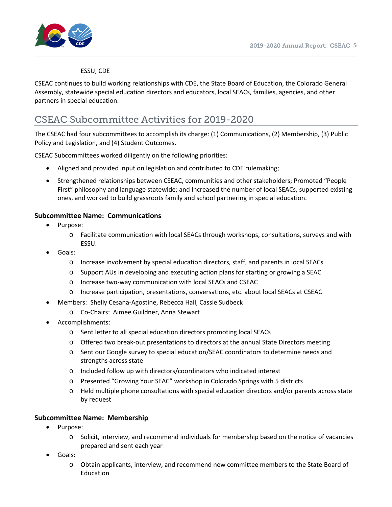

#### ESSU, CDE

CSEAC continues to build working relationships with CDE, the State Board of Education, the Colorado General Assembly, statewide special education directors and educators, local SEACs, families, agencies, and other partners in special education.

## CSEAC Subcommittee Activities for 2019-2020

The CSEAC had four subcommittees to accomplish its charge: (1) Communications, (2) Membership, (3) Public Policy and Legislation, and (4) Student Outcomes.

CSEAC Subcommittees worked diligently on the following priorities:

- Aligned and provided input on legislation and contributed to CDE rulemaking;
- Strengthened relationships between CSEAC, communities and other stakeholders; Promoted "People First" philosophy and language statewide; and Increased the number of local SEACs, supported existing ones, and worked to build grassroots family and school partnering in special education.

#### **Subcommittee Name: Communications**

- Purpose:
	- o Facilitate communication with local SEACs through workshops, consultations, surveys and with ESSU.
- Goals:
	- o Increase involvement by special education directors, staff, and parents in local SEACs
	- o Support AUs in developing and executing action plans for starting or growing a SEAC
	- o Increase two-way communication with local SEACs and CSEAC
	- o Increase participation, presentations, conversations, etc. about local SEACs at CSEAC
- Members: Shelly Cesana-Agostine, Rebecca Hall, Cassie Sudbeck
	- o Co-Chairs: Aimee Guildner, Anna Stewart
- Accomplishments:
	- o Sent letter to all special education directors promoting local SEACs
	- o Offered two break-out presentations to directors at the annual State Directors meeting
	- o Sent our Google survey to special education/SEAC coordinators to determine needs and strengths across state
	- o Included follow up with directors/coordinators who indicated interest
	- o Presented "Growing Your SEAC" workshop in Colorado Springs with 5 districts
	- o Held multiple phone consultations with special education directors and/or parents across state by request

#### **Subcommittee Name: Membership**

- Purpose:
	- o Solicit, interview, and recommend individuals for membership based on the notice of vacancies prepared and sent each year
- Goals:
	- o Obtain applicants, interview, and recommend new committee members to the State Board of Education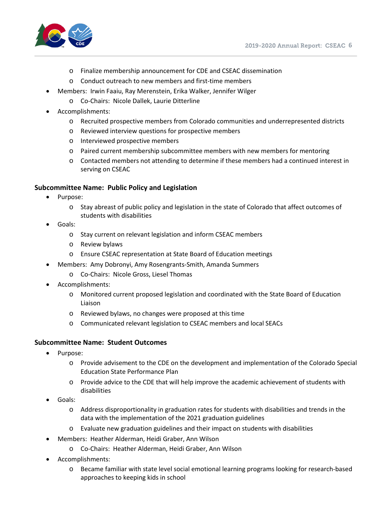

- o Finalize membership announcement for CDE and CSEAC dissemination
- o Conduct outreach to new members and first-time members
- Members: Irwin Faaiu, Ray Merenstein, Erika Walker, Jennifer Wilger
	- o Co-Chairs: Nicole Dallek, Laurie Ditterline
- Accomplishments:
	- o Recruited prospective members from Colorado communities and underrepresented districts
	- o Reviewed interview questions for prospective members
	- o Interviewed prospective members
	- o Paired current membership subcommittee members with new members for mentoring
	- o Contacted members not attending to determine if these members had a continued interest in serving on CSEAC

#### **Subcommittee Name: Public Policy and Legislation**

- Purpose:
	- o Stay abreast of public policy and legislation in the state of Colorado that affect outcomes of students with disabilities
- Goals:
	- o Stay current on relevant legislation and inform CSEAC members
	- o Review bylaws
	- o Ensure CSEAC representation at State Board of Education meetings
- Members: Amy Dobronyi, Amy Rosengrants-Smith, Amanda Summers
	- o Co-Chairs: Nicole Gross, Liesel Thomas
- Accomplishments:
	- o Monitored current proposed legislation and coordinated with the State Board of Education Liaison
	- o Reviewed bylaws, no changes were proposed at this time
	- o Communicated relevant legislation to CSEAC members and local SEACs

#### **Subcommittee Name: Student Outcomes**

- Purpose:
	- o Provide advisement to the CDE on the development and implementation of the Colorado Special Education State Performance Plan
	- o Provide advice to the CDE that will help improve the academic achievement of students with disabilities
- Goals:
	- o Address disproportionality in graduation rates for students with disabilities and trends in the data with the implementation of the 2021 graduation guidelines
	- o Evaluate new graduation guidelines and their impact on students with disabilities
- Members: Heather Alderman, Heidi Graber, Ann Wilson
	- o Co-Chairs: Heather Alderman, Heidi Graber, Ann Wilson
- Accomplishments:
	- o Became familiar with state level social emotional learning programs looking for research-based approaches to keeping kids in school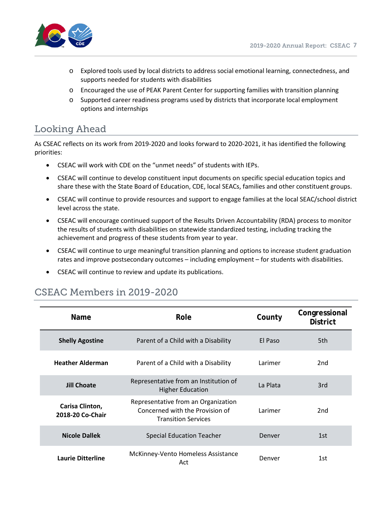

- o Explored tools used by local districts to address social emotional learning, connectedness, and supports needed for students with disabilities
- o Encouraged the use of PEAK Parent Center for supporting families with transition planning
- o Supported career readiness programs used by districts that incorporate local employment options and internships

## Looking Ahead

As CSEAC reflects on its work from 2019-2020 and looks forward to 2020-2021, it has identified the following priorities:

- CSEAC will work with CDE on the "unmet needs" of students with IEPs.
- CSEAC will continue to develop constituent input documents on specific special education topics and share these with the State Board of Education, CDE, local SEACs, families and other constituent groups.
- CSEAC will continue to provide resources and support to engage families at the local SEAC/school district level across the state.
- CSEAC will encourage continued support of the Results Driven Accountability (RDA) process to monitor the results of students with disabilities on statewide standardized testing, including tracking the achievement and progress of these students from year to year.
- CSEAC will continue to urge meaningful transition planning and options to increase student graduation rates and improve postsecondary outcomes – including employment – for students with disabilities.
- CSEAC will continue to review and update its publications.

| <b>Name</b>                         | Role                                                                                                 | County   | Congressional<br><b>District</b> |
|-------------------------------------|------------------------------------------------------------------------------------------------------|----------|----------------------------------|
| <b>Shelly Agostine</b>              | Parent of a Child with a Disability                                                                  | El Paso  | 5th                              |
| <b>Heather Alderman</b>             | Parent of a Child with a Disability                                                                  | Larimer  | 2 <sub>nd</sub>                  |
| <b>Jill Choate</b>                  | Representative from an Institution of<br><b>Higher Education</b>                                     | La Plata | 3rd                              |
| Carisa Clinton,<br>2018-20 Co-Chair | Representative from an Organization<br>Concerned with the Provision of<br><b>Transition Services</b> | Larimer  | 2nd                              |
| <b>Nicole Dallek</b>                | Special Education Teacher                                                                            | Denver   | 1st                              |
| <b>Laurie Ditterline</b>            | McKinney-Vento Homeless Assistance<br>Act                                                            | Denver   | 1st                              |

## CSEAC Members in 2019-2020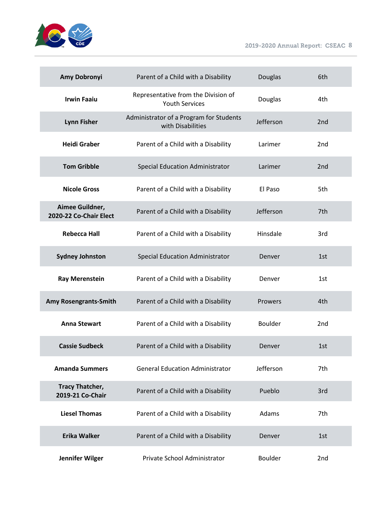

2019-2020 Annual Report: CSEAC **8**

| Amy Dobronyi                               | Parent of a Child with a Disability                          | Douglas        | 6th             |
|--------------------------------------------|--------------------------------------------------------------|----------------|-----------------|
| <b>Irwin Faaiu</b>                         | Representative from the Division of<br><b>Youth Services</b> | Douglas        | 4th             |
| <b>Lynn Fisher</b>                         | Administrator of a Program for Students<br>with Disabilities | Jefferson      | 2 <sub>nd</sub> |
| <b>Heidi Graber</b>                        | Parent of a Child with a Disability                          | Larimer        | 2 <sub>nd</sub> |
| <b>Tom Gribble</b>                         | <b>Special Education Administrator</b>                       | Larimer        | 2 <sub>nd</sub> |
| <b>Nicole Gross</b>                        | Parent of a Child with a Disability                          | El Paso        | 5th             |
| Aimee Guildner,<br>2020-22 Co-Chair Elect  | Parent of a Child with a Disability                          | Jefferson      | 7th             |
| <b>Rebecca Hall</b>                        | Parent of a Child with a Disability                          | Hinsdale       | 3rd             |
| <b>Sydney Johnston</b>                     | Special Education Administrator                              | Denver         | 1st             |
| <b>Ray Merenstein</b>                      | Parent of a Child with a Disability                          | Denver         | 1st             |
| Amy Rosengrants-Smith                      | Parent of a Child with a Disability                          | Prowers        | 4th             |
| <b>Anna Stewart</b>                        | Parent of a Child with a Disability                          | <b>Boulder</b> | 2nd             |
| <b>Cassie Sudbeck</b>                      | Parent of a Child with a Disability                          | Denver         | 1st             |
| <b>Amanda Summers</b>                      | <b>General Education Administrator</b>                       | Jefferson      | 7th             |
| <b>Tracy Thatcher,</b><br>2019-21 Co-Chair | Parent of a Child with a Disability                          | Pueblo         | 3rd             |
| <b>Liesel Thomas</b>                       | Parent of a Child with a Disability                          | Adams          | 7th             |
| <b>Erika Walker</b>                        | Parent of a Child with a Disability                          | Denver         | 1st             |
| Jennifer Wilger                            | Private School Administrator                                 | Boulder        | 2 <sub>nd</sub> |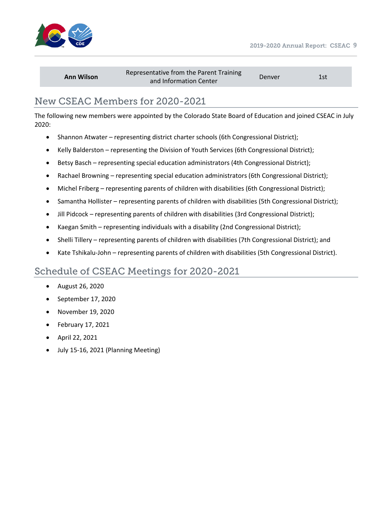



| <b>Ann Wilson</b> | Representative from the Parent Training<br>and Information Center | Denver | 1st |
|-------------------|-------------------------------------------------------------------|--------|-----|
|-------------------|-------------------------------------------------------------------|--------|-----|

## New CSEAC Members for 2020-2021

The following new members were appointed by the Colorado State Board of Education and joined CSEAC in July 2020:

- Shannon Atwater representing district charter schools (6th Congressional District);
- Kelly Balderston representing the Division of Youth Services (6th Congressional District);
- Betsy Basch representing special education administrators (4th Congressional District);
- Rachael Browning representing special education administrators (6th Congressional District);
- Michel Friberg representing parents of children with disabilities (6th Congressional District);
- Samantha Hollister representing parents of children with disabilities (5th Congressional District);
- Jill Pidcock representing parents of children with disabilities (3rd Congressional District);
- Kaegan Smith representing individuals with a disability (2nd Congressional District);
- Shelli Tillery representing parents of children with disabilities (7th Congressional District); and
- Kate Tshikalu-John representing parents of children with disabilities (5th Congressional District).

## Schedule of CSEAC Meetings for 2020-2021

- August 26, 2020
- September 17, 2020
- November 19, 2020
- February 17, 2021
- April 22, 2021
- July 15-16, 2021 (Planning Meeting)